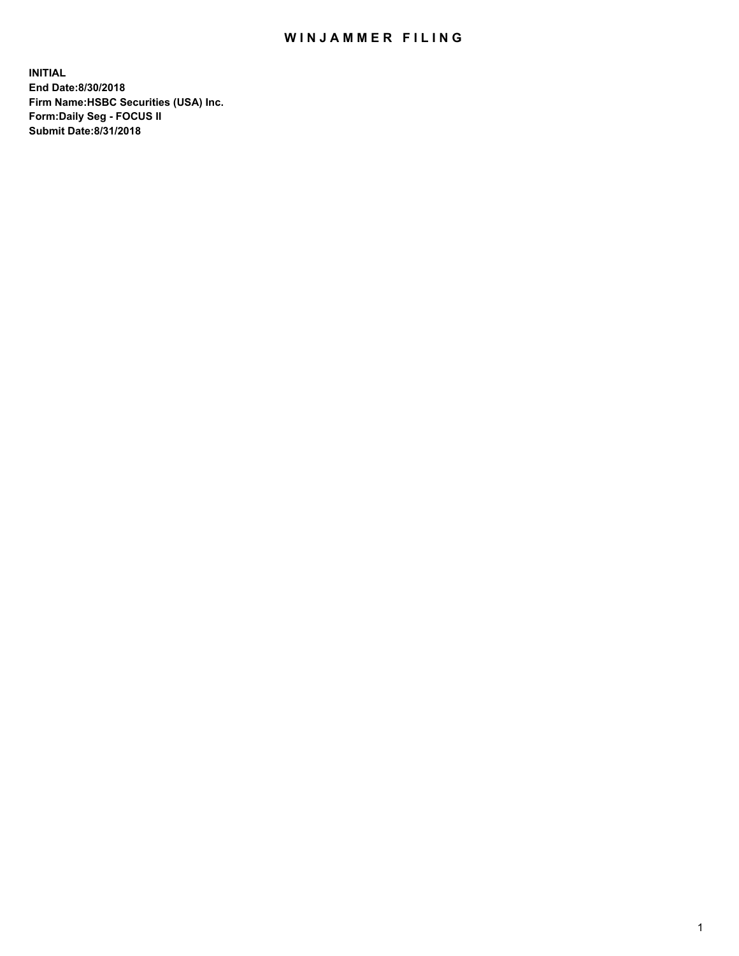## WIN JAMMER FILING

**INITIAL End Date:8/30/2018 Firm Name:HSBC Securities (USA) Inc. Form:Daily Seg - FOCUS II Submit Date:8/31/2018**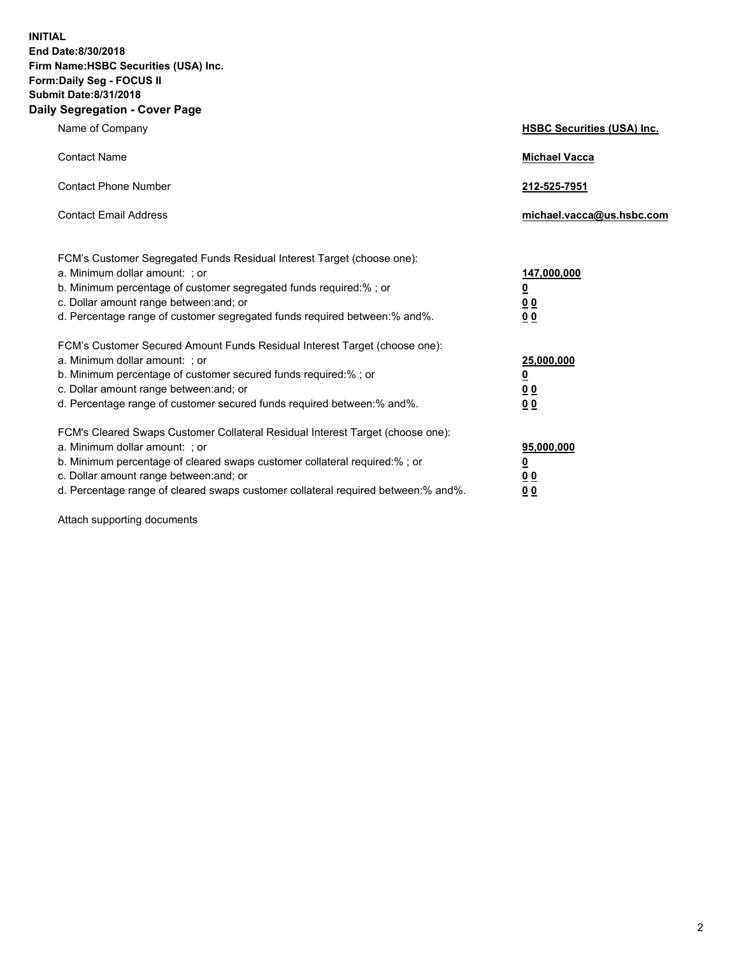**INITIAL End Date:8/30/2018 Firm Name:HSBC Securities (USA) Inc. Form:Daily Seg - FOCUS II Submit Date:8/31/2018 Daily Segregation - Cover Page**

| Name of Company                                                                                                                                                                                                                                                                                                                | <b>HSBC Securities (USA) Inc.</b>                                           |
|--------------------------------------------------------------------------------------------------------------------------------------------------------------------------------------------------------------------------------------------------------------------------------------------------------------------------------|-----------------------------------------------------------------------------|
| <b>Contact Name</b>                                                                                                                                                                                                                                                                                                            | <b>Michael Vacca</b>                                                        |
| <b>Contact Phone Number</b>                                                                                                                                                                                                                                                                                                    | 212-525-7951                                                                |
| <b>Contact Email Address</b>                                                                                                                                                                                                                                                                                                   | michael.vacca@us.hsbc.com                                                   |
| FCM's Customer Segregated Funds Residual Interest Target (choose one):<br>a. Minimum dollar amount: ; or<br>b. Minimum percentage of customer segregated funds required:% ; or<br>c. Dollar amount range between: and; or<br>d. Percentage range of customer segregated funds required between:% and%.                         | 147,000,000<br>$\underline{\mathbf{0}}$<br>0 <sub>0</sub><br>0 <sub>0</sub> |
| FCM's Customer Secured Amount Funds Residual Interest Target (choose one):<br>a. Minimum dollar amount: ; or<br>b. Minimum percentage of customer secured funds required:% ; or<br>c. Dollar amount range between: and; or<br>d. Percentage range of customer secured funds required between: % and %.                         | 25,000,000<br><u>0</u><br>0 <sub>0</sub><br>0 <sub>0</sub>                  |
| FCM's Cleared Swaps Customer Collateral Residual Interest Target (choose one):<br>a. Minimum dollar amount: ; or<br>b. Minimum percentage of cleared swaps customer collateral required:% ; or<br>c. Dollar amount range between: and; or<br>d. Percentage range of cleared swaps customer collateral required between:% and%. | 95,000,000<br><u>0</u><br>00<br>00                                          |

Attach supporting documents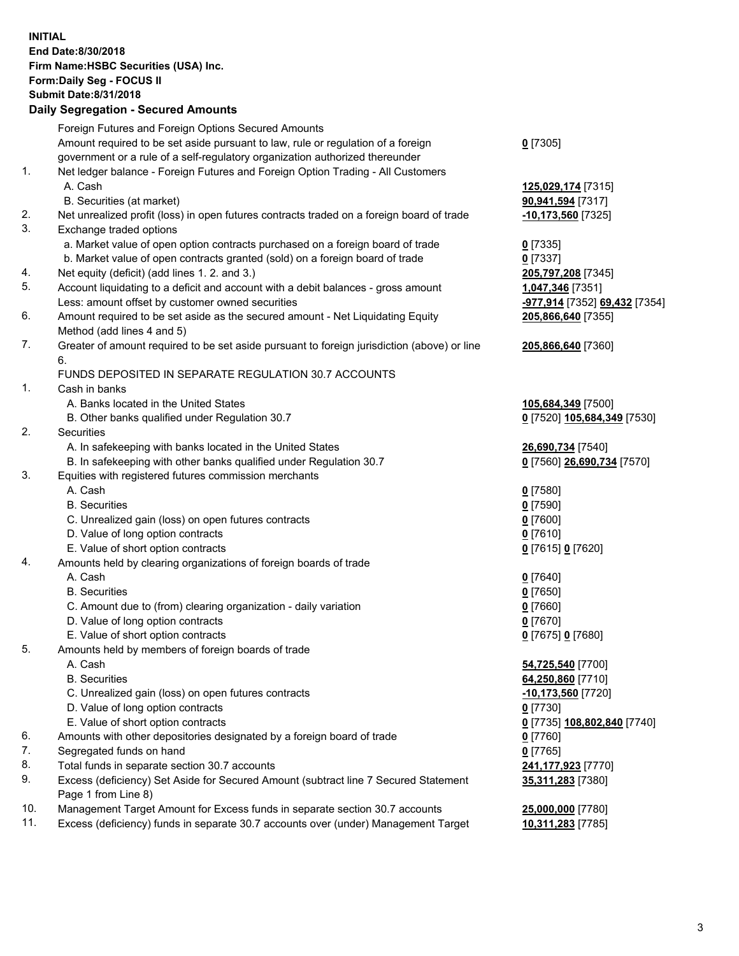**INITIAL End Date:8/30/2018 Firm Name:HSBC Securities (USA) Inc. Form:Daily Seg - FOCUS II Submit Date:8/31/2018 Daily Segregation - Secured Amounts** Foreign Futures and Foreign Options Secured Amounts Amount required to be set aside pursuant to law, rule or regulation of a foreign government or a rule of a self-regulatory organization authorized thereunder **0** [7305] 1. Net ledger balance - Foreign Futures and Foreign Option Trading - All Customers A. Cash **125,029,174** [7315] B. Securities (at market) **90,941,594** [7317] 2. Net unrealized profit (loss) in open futures contracts traded on a foreign board of trade **-10,173,560** [7325] 3. Exchange traded options a. Market value of open option contracts purchased on a foreign board of trade **0** [7335] b. Market value of open contracts granted (sold) on a foreign board of trade **0** [7337] 4. Net equity (deficit) (add lines 1. 2. and 3.) **205,797,208** [7345] 5. Account liquidating to a deficit and account with a debit balances - gross amount **1,047,346** [7351] Less: amount offset by customer owned securities **-977,914** [7352] **69,432** [7354] 6. Amount required to be set aside as the secured amount - Net Liquidating Equity Method (add lines 4 and 5) **205,866,640** [7355] 7. Greater of amount required to be set aside pursuant to foreign jurisdiction (above) or line 6. **205,866,640** [7360] FUNDS DEPOSITED IN SEPARATE REGULATION 30.7 ACCOUNTS 1. Cash in banks A. Banks located in the United States **105,684,349** [7500] B. Other banks qualified under Regulation 30.7 **0** [7520] **105,684,349** [7530] 2. Securities A. In safekeeping with banks located in the United States **26,690,734** [7540] B. In safekeeping with other banks qualified under Regulation 30.7 **0** [7560] **26,690,734** [7570] 3. Equities with registered futures commission merchants A. Cash **0** [7580] B. Securities **0** [7590] C. Unrealized gain (loss) on open futures contracts **0** [7600] D. Value of long option contracts **0** [7610] E. Value of short option contracts **0** [7615] **0** [7620] 4. Amounts held by clearing organizations of foreign boards of trade A. Cash **0** [7640] B. Securities **0** [7650] C. Amount due to (from) clearing organization - daily variation **0** [7660] D. Value of long option contracts **0** [7670] E. Value of short option contracts **0** [7675] **0** [7680] 5. Amounts held by members of foreign boards of trade A. Cash **54,725,540** [7700] B. Securities **64,250,860** [7710] C. Unrealized gain (loss) on open futures contracts **-10,173,560** [7720] D. Value of long option contracts **0** [7730] E. Value of short option contracts **0** [7735] **108,802,840** [7740] 6. Amounts with other depositories designated by a foreign board of trade **0** [7760] 7. Segregated funds on hand **0** [7765] 8. Total funds in separate section 30.7 accounts **241,177,923** [7770] 9. Excess (deficiency) Set Aside for Secured Amount (subtract line 7 Secured Statement Page 1 from Line 8) **35,311,283** [7380]

10. Management Target Amount for Excess funds in separate section 30.7 accounts **25,000,000** [7780]

11. Excess (deficiency) funds in separate 30.7 accounts over (under) Management Target **10,311,283** [7785]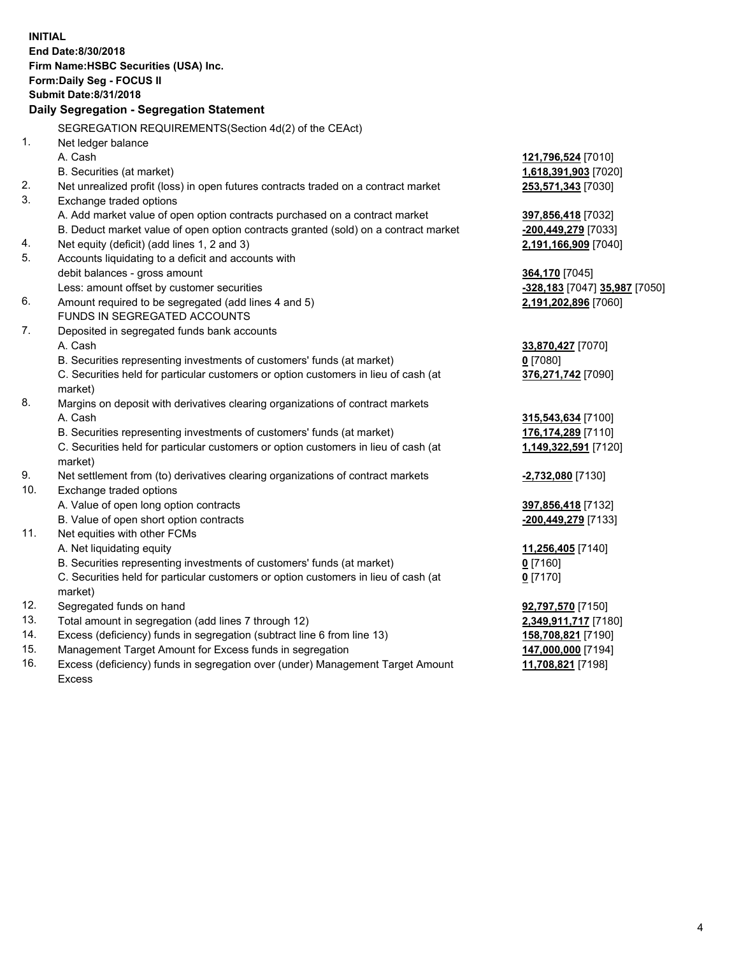**INITIAL End Date:8/30/2018 Firm Name:HSBC Securities (USA) Inc. Form:Daily Seg - FOCUS II Submit Date:8/31/2018 Daily Segregation - Segregation Statement** SEGREGATION REQUIREMENTS(Section 4d(2) of the CEAct) 1. Net ledger balance A. Cash **121,796,524** [7010] B. Securities (at market) **1,618,391,903** [7020] 2. Net unrealized profit (loss) in open futures contracts traded on a contract market **253,571,343** [7030] 3. Exchange traded options A. Add market value of open option contracts purchased on a contract market **397,856,418** [7032] B. Deduct market value of open option contracts granted (sold) on a contract market **-200,449,279** [7033] 4. Net equity (deficit) (add lines 1, 2 and 3) **2,191,166,909** [7040] 5. Accounts liquidating to a deficit and accounts with debit balances - gross amount **364,170** [7045] Less: amount offset by customer securities **-328,183** [7047] **35,987** [7050] 6. Amount required to be segregated (add lines 4 and 5) **2,191,202,896** [7060] FUNDS IN SEGREGATED ACCOUNTS 7. Deposited in segregated funds bank accounts A. Cash **33,870,427** [7070] B. Securities representing investments of customers' funds (at market) **0** [7080] C. Securities held for particular customers or option customers in lieu of cash (at market) **376,271,742** [7090] 8. Margins on deposit with derivatives clearing organizations of contract markets A. Cash **315,543,634** [7100] B. Securities representing investments of customers' funds (at market) **176,174,289** [7110] C. Securities held for particular customers or option customers in lieu of cash (at market) **1,149,322,591** [7120] 9. Net settlement from (to) derivatives clearing organizations of contract markets **-2,732,080** [7130] 10. Exchange traded options A. Value of open long option contracts **397,856,418** [7132] B. Value of open short option contracts **-200,449,279** [7133] 11. Net equities with other FCMs A. Net liquidating equity **11,256,405** [7140] B. Securities representing investments of customers' funds (at market) **0** [7160] C. Securities held for particular customers or option customers in lieu of cash (at market) **0** [7170] 12. Segregated funds on hand **92,797,570** [7150] 13. Total amount in segregation (add lines 7 through 12) **2,349,911,717** [7180] 14. Excess (deficiency) funds in segregation (subtract line 6 from line 13) **158,708,821** [7190] 15. Management Target Amount for Excess funds in segregation **147,000,000** [7194] 16. Excess (deficiency) funds in segregation over (under) Management Target Amount **11,708,821** [7198]

Excess